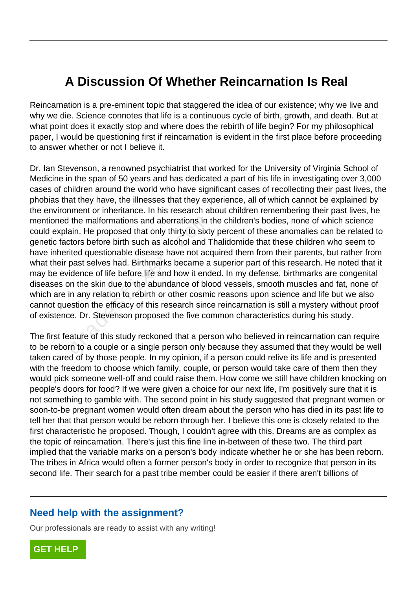## **A Discussion Of Whether Reincarnation Is Real**

Reincarnation is a pre-eminent topic that staggered the idea of our existence; why we live and why we die. Science connotes that life is a continuous cycle of birth, growth, and death. But at what point does it exactly stop and where does the rebirth of life begin? For my philosophical paper, I would be questioning first if reincarnation is evident in the first place before proceeding to answer whether or not I believe it.

Dr. Ian Stevenson, a renowned psychiatrist that worked for the University of Virginia School of Medicine in the span of 50 years and has dedicated a part of his life in investigating over 3,000 cases of children around the world who have significant cases of recollecting their past lives, the phobias that they have, the illnesses that they experience, all of which cannot be explained by the environment or inheritance. In his research about children remembering their past lives, he mentioned the malformations and aberrations in the children's bodies, none of which science could explain. He proposed that only thirty to sixty percent of these anomalies can be related to genetic factors before birth such as alcohol and Thalidomide that these children who seem to have inherited questionable disease have not acquired them from their parents, but rather from what their past selves had. Birthmarks became a superior part of this research. He noted that it may be evidence of life before life and how it ended. In my defense, birthmarks are congenital diseases on the skin due to the abundance of blood vessels, smooth muscles and fat, none of which are in any relation to rebirth or other cosmic reasons upon science and life but we also cannot question the efficacy of this research since reincarnation is still a mystery without proof of existence. Dr. Stevenson proposed the five common characteristics during his study. I the malformations and aberrations in the proposed that only thirty to sixt<br>tors before birth such as alcohol and T<br>ited questionable disease have not acc<br>past selves had. Birthmarks became a<br>idence of life before life an

The first feature of this study reckoned that a person who believed in reincarnation can require to be reborn to a couple or a single person only because they assumed that they would be well taken cared of by those people. In my opinion, if a person could relive its life and is presented with the freedom to choose which family, couple, or person would take care of them then they would pick someone well-off and could raise them. How come we still have children knocking on people's doors for food? If we were given a choice for our next life, I'm positively sure that it is not something to gamble with. The second point in his study suggested that pregnant women or soon-to-be pregnant women would often dream about the person who has died in its past life to tell her that that person would be reborn through her. I believe this one is closely related to the first characteristic he proposed. Though, I couldn't agree with this. Dreams are as complex as the topic of reincarnation. There's just this fine line in-between of these two. The third part implied that the variable marks on a person's body indicate whether he or she has been reborn. The tribes in Africa would often a former person's body in order to recognize that person in its second life. Their search for a past tribe member could be easier if there aren't billions of

## **Need help with the assignment?**

Our professionals are ready to assist with any writing!

**[GET HELP](https://my.gradesfixer.com/order?utm_campaign=pdf_sample)**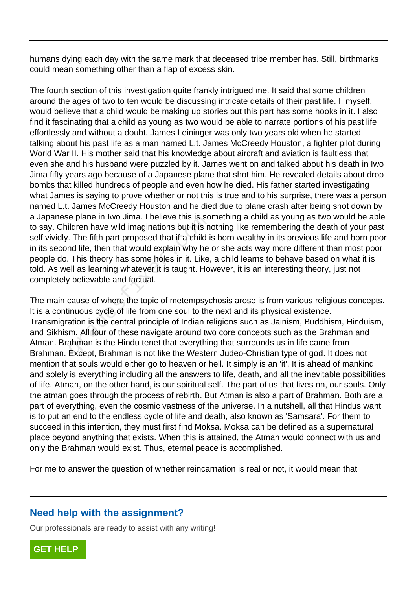humans dying each day with the same mark that deceased tribe member has. Still, birthmarks could mean something other than a flap of excess skin.

The fourth section of this investigation quite frankly intrigued me. It said that some children around the ages of two to ten would be discussing intricate details of their past life. I, myself, would believe that a child would be making up stories but this part has some hooks in it. I also find it fascinating that a child as young as two would be able to narrate portions of his past life effortlessly and without a doubt. James Leininger was only two years old when he started talking about his past life as a man named L.t. James McCreedy Houston, a fighter pilot during World War II. His mother said that his knowledge about aircraft and aviation is faultless that even she and his husband were puzzled by it. James went on and talked about his death in Iwo Jima fifty years ago because of a Japanese plane that shot him. He revealed details about drop bombs that killed hundreds of people and even how he died. His father started investigating what James is saying to prove whether or not this is true and to his surprise, there was a person named L.t. James McCreedy Houston and he died due to plane crash after being shot down by a Japanese plane in Iwo Jima. I believe this is something a child as young as two would be able to say. Children have wild imaginations but it is nothing like remembering the death of your past self vividly. The fifth part proposed that if a child is born wealthy in its previous life and born poor in its second life, then that would explain why he or she acts way more different than most poor people do. This theory has some holes in it. Like, a child learns to behave based on what it is told. As well as learning whatever it is taught. However, it is an interesting theory, just not completely believable and factual. e plane in two Jima. I believe this is so<br>ildren have wild imaginations but it is n<br>. The fifth part proposed that if a child i<br>nd life, then that would explain why he<br>This theory has some holes in it. Like,<br>ell as learnin

The main cause of where the topic of metempsychosis arose is from various religious concepts. It is a continuous cycle of life from one soul to the next and its physical existence. Transmigration is the central principle of Indian religions such as Jainism, Buddhism, Hinduism, and Sikhism. All four of these navigate around two core concepts such as the Brahman and Atman. Brahman is the Hindu tenet that everything that surrounds us in life came from Brahman. Except, Brahman is not like the Western Judeo-Christian type of god. It does not mention that souls would either go to heaven or hell. It simply is an 'it'. It is ahead of mankind and solely is everything including all the answers to life, death, and all the inevitable possibilities of life. Atman, on the other hand, is our spiritual self. The part of us that lives on, our souls. Only the atman goes through the process of rebirth. But Atman is also a part of Brahman. Both are a part of everything, even the cosmic vastness of the universe. In a nutshell, all that Hindus want is to put an end to the endless cycle of life and death, also known as 'Samsara'. For them to succeed in this intention, they must first find Moksa. Moksa can be defined as a supernatural place beyond anything that exists. When this is attained, the Atman would connect with us and only the Brahman would exist. Thus, eternal peace is accomplished.

For me to answer the question of whether reincarnation is real or not, it would mean that

## **Need help with the assignment?**

Our professionals are ready to assist with any writing!